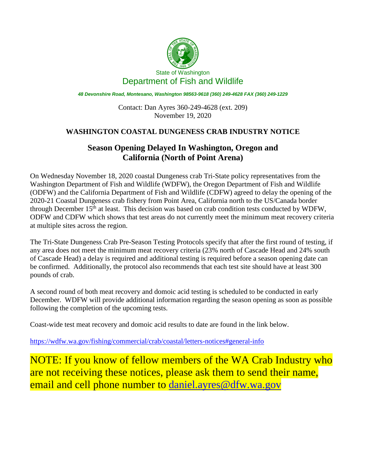

*48 Devonshire Road, Montesano, Washington 98563-9618 (360) 249-4628 FAX (360) 249-1229*

Contact: Dan Ayres 360-249-4628 (ext. 209) November 19, 2020

## **WASHINGTON COASTAL DUNGENESS CRAB INDUSTRY NOTICE**

## **Season Opening Delayed In Washington, Oregon and California (North of Point Arena)**

On Wednesday November 18, 2020 coastal Dungeness crab Tri-State policy representatives from the Washington Department of Fish and Wildlife (WDFW), the Oregon Department of Fish and Wildlife (ODFW) and the California Department of Fish and Wildlife (CDFW) agreed to delay the opening of the 2020-21 Coastal Dungeness crab fishery from Point Area, California north to the US/Canada border through December 15<sup>th</sup> at least. This decision was based on crab condition tests conducted by WDFW, ODFW and CDFW which shows that test areas do not currently meet the minimum meat recovery criteria at multiple sites across the region.

The Tri-State Dungeness Crab Pre-Season Testing Protocols specify that after the first round of testing, if any area does not meet the minimum meat recovery criteria (23% north of Cascade Head and 24% south of Cascade Head) a delay is required and additional testing is required before a season opening date can be confirmed. Additionally, the protocol also recommends that each test site should have at least 300 pounds of crab.

A second round of both meat recovery and domoic acid testing is scheduled to be conducted in early December. WDFW will provide additional information regarding the season opening as soon as possible following the completion of the upcoming tests.

Coast-wide test meat recovery and domoic acid results to date are found in the link below.

<https://wdfw.wa.gov/fishing/commercial/crab/coastal/letters-notices#general-info>

NOTE: If you know of fellow members of the WA Crab Industry who are not receiving these notices, please ask them to send their name, email and cell phone number to [daniel.ayres@dfw.wa.gov](mailto:daniel.ayres@dfw.wa.gov)